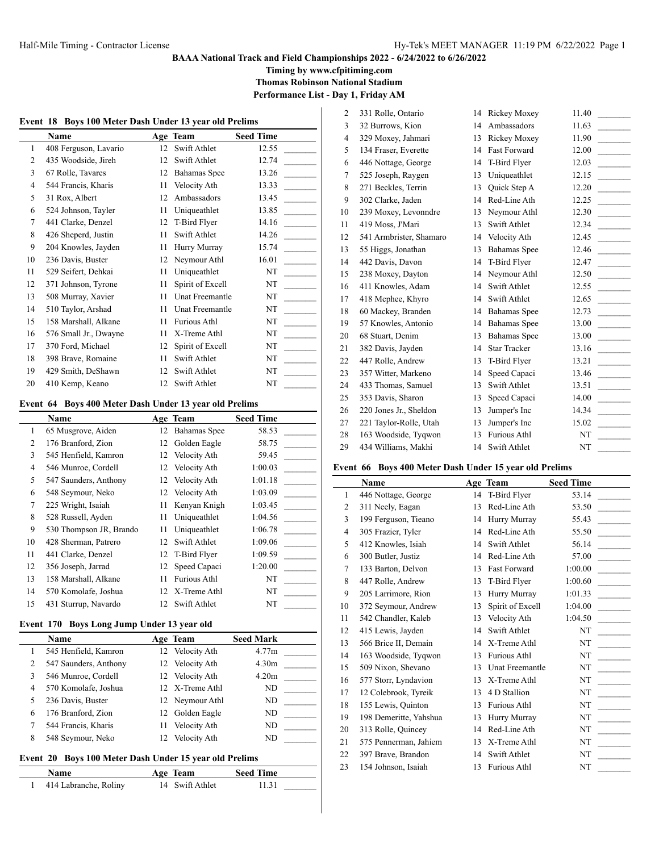# **BAAA National Track and Field Championships 2022 - 6/24/2022 to 6/26/2022**

**Timing by www.cfpitiming.com**

**Thomas Robinson National Stadium**

**Performance List - Day 1, Friday AM**

 $\overline{a}$ 

 $\overline{1}$ 

| Event 18 Boys 100 Meter Dash Under 13 year old Prelims |                       |    |                     |                  |  |
|--------------------------------------------------------|-----------------------|----|---------------------|------------------|--|
|                                                        | Name                  |    | Age Team            | <b>Seed Time</b> |  |
| 1                                                      | 408 Ferguson, Lavario | 12 | Swift Athlet        | 12.55            |  |
| 2                                                      | 435 Woodside, Jireh   | 12 | Swift Athlet        | 12.74            |  |
| 3                                                      | 67 Rolle, Tavares     | 12 | Bahamas Spee        | 13.26            |  |
| 4                                                      | 544 Francis, Kharis   | 11 | Velocity Ath        | 13.33            |  |
| 5                                                      | 31 Rox, Albert        | 12 | Ambassadors         | 13.45            |  |
| 6                                                      | 524 Johnson, Tayler   | 11 | Uniqueathlet        | 13.85            |  |
| 7                                                      | 441 Clarke, Denzel    | 12 | T-Bird Flyer        | 14.16            |  |
| 8                                                      | 426 Sheperd, Justin   | 11 | Swift Athlet        | 14.26            |  |
| 9                                                      | 204 Knowles, Jayden   | 11 | Hurry Murray        | 15.74            |  |
| 10                                                     | 236 Davis, Buster     | 12 | Neymour Athl        | 16.01            |  |
| 11                                                     | 529 Seifert, Dehkai   | 11 | Uniqueathlet        | NT               |  |
| 12                                                     | 371 Johnson, Tyrone   | 11 | Spirit of Excell    | NT               |  |
| 13                                                     | 508 Murray, Xavier    | 11 | Unat Freemantle     | NT               |  |
| 14                                                     | 510 Taylor, Arshad    | 11 | Unat Freemantle     | NT               |  |
| 15                                                     | 158 Marshall, Alkane  | 11 | <b>Furious Athl</b> | NT               |  |
| 16                                                     | 576 Small Jr., Dwayne | 11 | X-Treme Athl        | NT               |  |
| 17                                                     | 370 Ford, Michael     | 12 | Spirit of Excell    | NT               |  |
| 18                                                     | 398 Brave, Romaine    | 11 | Swift Athlet        | NT               |  |
| 19                                                     | 429 Smith, DeShawn    | 12 | Swift Athlet        | NT               |  |
| 20                                                     | 410 Kemp, Keano       | 12 | Swift Athlet        | NT               |  |

### **Event 64 Boys 400 Meter Dash Under 13 year old Prelims**

|    | <b>Name</b>             |    | Age Team     | <b>Seed Time</b> |
|----|-------------------------|----|--------------|------------------|
| 1  | 65 Musgrove, Aiden      | 12 | Bahamas Spee | 58.53            |
| 2  | 176 Branford, Zion      | 12 | Golden Eagle | 58.75            |
| 3  | 545 Henfield, Kamron    | 12 | Velocity Ath | 59.45            |
| 4  | 546 Munroe, Cordell     | 12 | Velocity Ath | 1:00.03          |
| 5  | 547 Saunders, Anthony   | 12 | Velocity Ath | 1:01.18          |
| 6  | 548 Seymour, Neko       | 12 | Velocity Ath | 1:03.09          |
| 7  | 225 Wright, Isaiah      | 11 | Kenyan Knigh | 1:03.45          |
| 8  | 528 Russell, Ayden      | 11 | Uniqueathlet | 1:04.56          |
| 9  | 530 Thompson JR, Brando | 11 | Uniqueathlet | 1:06.78          |
| 10 | 428 Sherman, Patrero    | 12 | Swift Athlet | 1:09.06          |
| 11 | 441 Clarke, Denzel      | 12 | T-Bird Flyer | 1:09.59          |
| 12 | 356 Joseph, Jarrad      | 12 | Speed Capaci | 1:20.00          |
| 13 | 158 Marshall, Alkane    | 11 | Furious Athl | NT               |
| 14 | 570 Komolafe, Joshua    | 12 | X-Treme Athl | NT               |
| 15 | 431 Sturrup, Navardo    | 12 | Swift Athlet | NT               |

# **Event 170 Boys Long Jump Under 13 year old**

|   | Name                  |    | Age Team        | <b>Seed Mark</b>  |
|---|-----------------------|----|-----------------|-------------------|
|   | 545 Henfield, Kamron  |    | 12 Velocity Ath | 4.77m             |
|   | 547 Saunders, Anthony |    | 12 Velocity Ath | 4.30 <sub>m</sub> |
| 3 | 546 Munroe, Cordell   |    | 12 Velocity Ath | 4.20m             |
| 4 | 570 Komolafe, Joshua  |    | 12 X-Treme Athl | ND                |
|   | 236 Davis, Buster     |    | 12 Neymour Athl | ND                |
| 6 | 176 Branford, Zion    |    | 12 Golden Eagle | ND                |
|   | 544 Francis, Kharis   | 11 | Velocity Ath    | ND                |
| 8 | 548 Seymour, Neko     |    | Velocity Ath    | ND.               |

# **Event 20 Boys 100 Meter Dash Under 15 year old Prelims**

| Name                  | Age Team        | <b>Seed Time</b> |
|-----------------------|-----------------|------------------|
| 414 Labranche, Roliny | 14 Swift Athlet | 11.31            |

| $\overline{2}$ | 331 Rolle, Ontario      | 14 | Rickey Moxey        | 11.40 |  |
|----------------|-------------------------|----|---------------------|-------|--|
| 3              | 32 Burrows, Kion        | 14 | Ambassadors         | 11.63 |  |
| $\overline{4}$ | 329 Moxey, Jahmari      | 13 | Rickey Moxey        | 11.90 |  |
| 5              | 134 Fraser, Everette    | 14 | <b>Fast Forward</b> | 12.00 |  |
| 6              | 446 Nottage, George     | 14 | T-Bird Flyer        | 12.03 |  |
| 7              | 525 Joseph, Raygen      | 13 | Uniqueathlet        | 12.15 |  |
| 8              | 271 Beckles, Terrin     | 13 | Quick Step A        | 12.20 |  |
| 9              | 302 Clarke, Jaden       | 14 | Red-Line Ath        | 12.25 |  |
| 10             | 239 Moxey, Levonndre    | 13 | Neymour Athl        | 12.30 |  |
| 11             | 419 Moss, J'Mari        | 13 | Swift Athlet        | 12.34 |  |
| 12             | 541 Armbrister, Shamaro | 14 | Velocity Ath        | 12.45 |  |
| 13             | 55 Higgs, Jonathan      | 13 | <b>Bahamas</b> Spee | 12.46 |  |
| 14             | 442 Davis, Davon        | 14 | T-Bird Flyer        | 12.47 |  |
| 15             | 238 Moxey, Dayton       | 14 | Neymour Athl        | 12.50 |  |
| 16             | 411 Knowles, Adam       | 14 | Swift Athlet        | 12.55 |  |
| 17             | 418 Mcphee, Khyro       | 14 | Swift Athlet        | 12.65 |  |
| 18             | 60 Mackey, Branden      | 14 | <b>Bahamas</b> Spee | 12.73 |  |
| 19             | 57 Knowles, Antonio     | 14 | <b>Bahamas</b> Spee | 13.00 |  |
| 20             | 68 Stuart, Denim        | 13 | <b>Bahamas</b> Spee | 13.00 |  |
| 21             | 382 Davis, Jayden       | 14 | <b>Star Tracker</b> | 13.16 |  |
| 22             | 447 Rolle, Andrew       | 13 | T-Bird Flyer        | 13.21 |  |
| 23             | 357 Witter, Markeno     | 14 | Speed Capaci        | 13.46 |  |
| 24             | 433 Thomas, Samuel      | 13 | Swift Athlet        | 13.51 |  |
| 25             | 353 Davis, Sharon       | 13 | Speed Capaci        | 14.00 |  |
| 26             | 220 Jones Jr., Sheldon  | 13 | Jumper's Inc        | 14.34 |  |
| 27             | 221 Taylor-Rolle, Utah  | 13 | Jumper's Inc        | 15.02 |  |
| 28             | 163 Woodside, Tyqwon    | 13 | <b>Furious Athl</b> | NT    |  |
| 29             | 434 Williams, Makhi     | 14 | Swift Athlet        | NT    |  |

### **Event 66 Boys 400 Meter Dash Under 15 year old Prelims**

|                | <b>Name</b>            |    | Age Team            | <b>Seed Time</b> |
|----------------|------------------------|----|---------------------|------------------|
| $\mathbf{1}$   | 446 Nottage, George    | 14 | T-Bird Flyer        | 53.14            |
| $\overline{2}$ | 311 Neely, Eagan       | 13 | Red-Line Ath        | 53.50            |
| 3              | 199 Ferguson, Tieano   | 14 | Hurry Murray        | 55.43            |
| $\overline{4}$ | 305 Frazier, Tyler     | 14 | Red-Line Ath        | 55.50            |
| 5              | 412 Knowles, Isiah     | 14 | Swift Athlet        | 56.14            |
| 6              | 300 Butler, Justiz     | 14 | Red-Line Ath        | 57.00            |
| 7              | 133 Barton, Delvon     | 13 | <b>Fast Forward</b> | 1:00.00          |
| 8              | 447 Rolle, Andrew      | 13 | T-Bird Flyer        | 1:00.60          |
| 9              | 205 Larrimore, Rion    | 13 | Hurry Murray        | 1:01.33          |
| 10             | 372 Seymour, Andrew    | 13 | Spirit of Excell    | 1:04.00          |
| 11             | 542 Chandler, Kaleb    | 13 | Velocity Ath        | 1:04.50          |
| 12             | 415 Lewis, Jayden      | 14 | Swift Athlet        | NT               |
| 13             | 566 Brice II, Demain   | 14 | X-Treme Athl        | NT               |
| 14             | 163 Woodside, Tyqwon   | 13 | <b>Furious Athl</b> | NT               |
| 15             | 509 Nixon, Shevano     | 13 | Unat Freemantle     | NT               |
| 16             | 577 Storr, Lyndavion   | 13 | X-Treme Athl        | NT               |
| 17             | 12 Colebrook, Tyreik   | 13 | 4 D Stallion        | NT               |
| 18             | 155 Lewis, Quinton     | 13 | <b>Furious Athl</b> | NT               |
| 19             | 198 Demeritte, Yahshua | 13 | Hurry Murray        | NT               |
| 20             | 313 Rolle, Quincey     | 14 | Red-Line Ath        | NT               |
| 21             | 575 Pennerman, Jahiem  | 13 | X-Treme Athl        | NT               |
| 22             | 397 Brave, Brandon     | 14 | Swift Athlet        | NT               |
| 23             | 154 Johnson, Isaiah    | 13 | <b>Furious Athl</b> | NT               |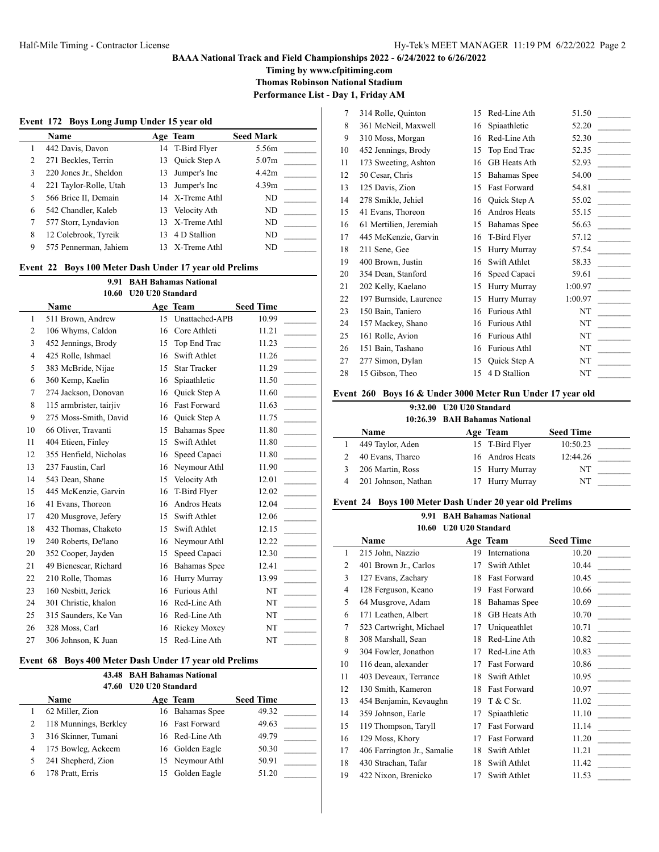# **BAAA National Track and Field Championships 2022 - 6/24/2022 to 6/26/2022**

**Timing by www.cfpitiming.com**

**Thomas Robinson National Stadium**

**Performance List - Day 1, Friday AM**

 $\overline{a}$ 

|  |  |  | Event 172 Boys Long Jump Under 15 year old |
|--|--|--|--------------------------------------------|
|--|--|--|--------------------------------------------|

|   | <b>Name</b>            |     | Age Team        | <b>Seed Mark</b>  |
|---|------------------------|-----|-----------------|-------------------|
|   | 442 Davis, Davon       |     | 14 T-Bird Flyer | 5.56m             |
| 2 | 271 Beckles, Terrin    | 13  | Quick Step A    | 5.07m             |
| 3 | 220 Jones Jr., Sheldon | 13  | Jumper's Inc    | 4.42m             |
| 4 | 221 Taylor-Rolle, Utah | 13. | Jumper's Inc    | 4.39 <sub>m</sub> |
|   | 566 Brice II, Demain   |     | 14 X-Treme Athl | ND                |
| 6 | 542 Chandler, Kaleb    |     | 13 Velocity Ath | ND.               |
|   | 577 Storr, Lyndavion   |     | 13 X-Treme Athl | ND                |
| 8 | 12 Colebrook, Tyreik   |     | 13 4 D Stallion | ND                |
| 9 | 575 Pennerman, Jahiem  |     | 13 X-Treme Athl | ND                |

# **Event 22 Boys 100 Meter Dash Under 17 year old Prelims**

| <b>BAH Bahamas National</b><br>9.91 |                         |                  |                     |                  |  |  |
|-------------------------------------|-------------------------|------------------|---------------------|------------------|--|--|
|                                     | 10.60                   | U20 U20 Standard |                     |                  |  |  |
|                                     | Name                    |                  | Age Team            | <b>Seed Time</b> |  |  |
| 1                                   | 511 Brown, Andrew       | 15               | Unattached-APB      | 10.99            |  |  |
| 2                                   | 106 Whyms, Caldon       | 16               | Core Athleti        | 11.21            |  |  |
| 3                                   | 452 Jennings, Brody     | 15               | Top End Trac        | 11.23            |  |  |
| 4                                   | 425 Rolle, Ishmael      | 16               | Swift Athlet        | 11.26            |  |  |
| 5                                   | 383 McBride, Nijae      | 15               | <b>Star Tracker</b> | 11.29            |  |  |
| 6                                   | 360 Kemp, Kaelin        | 16               | Spiaathletic        | 11.50            |  |  |
| 7                                   | 274 Jackson, Donovan    | 16               | Quick Step A        | 11.60            |  |  |
| 8                                   | 115 armbrister, tairjiv | 16               | <b>Fast Forward</b> | 11.63            |  |  |
| 9                                   | 275 Moss-Smith, David   | 16               | Quick Step A        | 11.75            |  |  |
| 10                                  | 66 Oliver, Travanti     | 15               | <b>Bahamas</b> Spee | 11.80            |  |  |
| 11                                  | 404 Etieen, Finley      | 15               | Swift Athlet        | 11.80            |  |  |
| 12                                  | 355 Henfield, Nicholas  | 16               | Speed Capaci        | 11.80            |  |  |
| 13                                  | 237 Faustin, Carl       | 16               | Neymour Athl        | 11.90            |  |  |
| 14                                  | 543 Dean, Shane         | 15               | Velocity Ath        | 12.01            |  |  |
| 15                                  | 445 McKenzie, Garvin    | 16               | T-Bird Flyer        | 12.02            |  |  |
| 16                                  | 41 Evans, Thoreon       | 16               | Andros Heats        | 12.04            |  |  |
| 17                                  | 420 Musgrove, Jefery    | 15               | Swift Athlet        | 12.06            |  |  |
| 18                                  | 432 Thomas, Chaketo     | 15               | Swift Athlet        | 12.15            |  |  |
| 19                                  | 240 Roberts, De'lano    | 16               | Neymour Athl        | 12.22            |  |  |
| 20                                  | 352 Cooper, Jayden      | 15               | Speed Capaci        | 12.30            |  |  |
| 21                                  | 49 Bienescar, Richard   | 16               | Bahamas Spee        | 12.41            |  |  |
| 22                                  | 210 Rolle, Thomas       | 16               | Hurry Murray        | 13.99            |  |  |
| 23                                  | 160 Nesbitt, Jerick     | 16               | Furious Athl        | NT               |  |  |
| 24                                  | 301 Christie, khalon    | 16               | Red-Line Ath        | NT               |  |  |
| 25                                  | 315 Saunders, Ke Van    | 16               | Red-Line Ath        | NT               |  |  |
| 26                                  | 328 Moss, Carl          | 16               | Rickey Moxey        | NT               |  |  |
| 27                                  | 306 Johnson, K Juan     | 15               | Red-Line Ath        | NT               |  |  |

### **Event 68 Boys 400 Meter Dash Under 17 year old Prelims**

|   | 47.60                 | U20 U20 Standard | 43.48 BAH Bahamas National |                  |  |
|---|-----------------------|------------------|----------------------------|------------------|--|
|   | Name                  |                  | Age Team                   | <b>Seed Time</b> |  |
|   | 62 Miller, Zion       |                  | 16 Bahamas Spee            | 49.32            |  |
| 2 | 118 Munnings, Berkley |                  | 16 Fast Forward            | 49.63            |  |
| 3 | 316 Skinner, Tumani   |                  | 16 Red-Line Ath            | 49.79            |  |
| 4 | 175 Bowleg, Ackeem    |                  | 16 Golden Eagle            | 50.30            |  |
|   | 241 Shepherd, Zion    |                  | 15 Neymour Athl            | 50.91            |  |
|   | 178 Pratt, Erris      |                  | Golden Eagle               | 51.20            |  |

| 361 McNeil, Maxwell<br>310 Moss, Morgan | 16<br>16            | Spiaathletic        | 52.20   |  |
|-----------------------------------------|---------------------|---------------------|---------|--|
|                                         |                     |                     |         |  |
|                                         |                     | Red-Line Ath        | 52.30   |  |
|                                         | 15                  | Top End Trac        | 52.35   |  |
| 173 Sweeting, Ashton                    | 16                  | GB Heats Ath        | 52.93   |  |
| 50 Cesar, Chris                         | 15                  | Bahamas Spee        | 54.00   |  |
| 125 Davis, Zion                         | 15                  | <b>Fast Forward</b> | 54.81   |  |
| 278 Smikle, Jehiel                      | 16                  | Quick Step A        | 55.02   |  |
| 41 Evans, Thoreon                       | 16                  | Andros Heats        | 55.15   |  |
| 61 Mertilien, Jeremiah                  | 15                  | Bahamas Spee        | 56.63   |  |
| 445 McKenzie, Garvin                    | 16                  | T-Bird Flyer        | 57.12   |  |
| 211 Sene, Gee                           | 15                  | Hurry Murray        | 57.54   |  |
| 400 Brown, Justin                       | 16                  | Swift Athlet        | 58.33   |  |
| 354 Dean, Stanford                      | 16                  | Speed Capaci        | 59.61   |  |
| 202 Kelly, Kaelano                      | 15                  | Hurry Murray        | 1:00.97 |  |
| 197 Burnside, Laurence                  | 15                  | Hurry Murray        | 1:00.97 |  |
| 150 Bain, Taniero                       | 16                  | Furious Athl        | NT      |  |
| 157 Mackey, Shano                       | 16                  | <b>Furious Athl</b> | NT      |  |
| 161 Rolle, Avion                        | 16                  | Furious Athl        | NT      |  |
| 151 Bain, Tashano                       | 16                  | Furious Athl        | NT      |  |
| 277 Simon, Dylan                        | 15                  | Quick Step A        | NT      |  |
| 15 Gibson, Theo                         | 15                  | 4 D Stallion        | NT      |  |
|                                         | 452 Jennings, Brody |                     |         |  |

### **Event 260 Boys 16 & Under 3000 Meter Run Under 17 year old**

**9:32.00 U20 U20 Standard**

|                     | 10:26.39 BAH Bahamas National |                  |  |
|---------------------|-------------------------------|------------------|--|
| Name                | Age Team                      | <b>Seed Time</b> |  |
| 449 Taylor, Aden    | 15 T-Bird Flver               | 10:50.23         |  |
| 40 Evans, Thareo    | 16 Andros Heats               | 12:44.26         |  |
| 206 Martin, Ross    | 15 Hurry Murray               | NT               |  |
| 201 Johnson, Nathan | 17 Hurry Murray               | NT               |  |

### **Event 24 Boys 100 Meter Dash Under 20 year old Prelims**

| 9.91 BAH Bahamas National |
|---------------------------|
| 10.60 U20 U20 Standard    |

|    | Name                        |    | Age Team            | <b>Seed Time</b> |  |
|----|-----------------------------|----|---------------------|------------------|--|
| 1  | 215 John, Nazzio            | 19 | Internationa        | 10.20            |  |
| 2  | 401 Brown Jr., Carlos       | 17 | Swift Athlet        | 10.44            |  |
| 3  | 127 Evans, Zachary          | 18 | Fast Forward        | 10.45            |  |
| 4  | 128 Ferguson, Keano         | 19 | <b>Fast Forward</b> | 10.66            |  |
| 5  | 64 Musgrove, Adam           | 18 | Bahamas Spee        | 10.69            |  |
| 6  | 171 Leathen, Albert         | 18 | GB Heats Ath        | 10.70            |  |
| 7  | 523 Cartwright, Michael     | 17 | Uniqueathlet        | 10.71            |  |
| 8  | 308 Marshall, Sean          | 18 | Red-Line Ath        | 10.82            |  |
| 9  | 304 Fowler, Jonathon        | 17 | Red-Line Ath        | 10.83            |  |
| 10 | 116 dean, alexander         | 17 | <b>Fast Forward</b> | 10.86            |  |
| 11 | 403 Deveaux, Terrance       | 18 | Swift Athlet        | 10.95            |  |
| 12 | 130 Smith, Kameron          | 18 | <b>Fast Forward</b> | 10.97            |  |
| 13 | 454 Benjamin, Kevaughn      | 19 | T & C Sr.           | 11.02            |  |
| 14 | 359 Johnson, Earle          | 17 | Spiaathletic        | 11.10            |  |
| 15 | 119 Thompson, Taryll        | 17 | <b>Fast Forward</b> | 11.14            |  |
| 16 | 129 Moss, Khory             | 17 | <b>Fast Forward</b> | 11.20            |  |
| 17 | 406 Farrington Jr., Samalie | 18 | Swift Athlet        | 11.21            |  |
| 18 | 430 Strachan, Tafar         | 18 | Swift Athlet        | 11.42            |  |
| 19 | 422 Nixon, Brenicko         | 17 | Swift Athlet        | 11.53            |  |